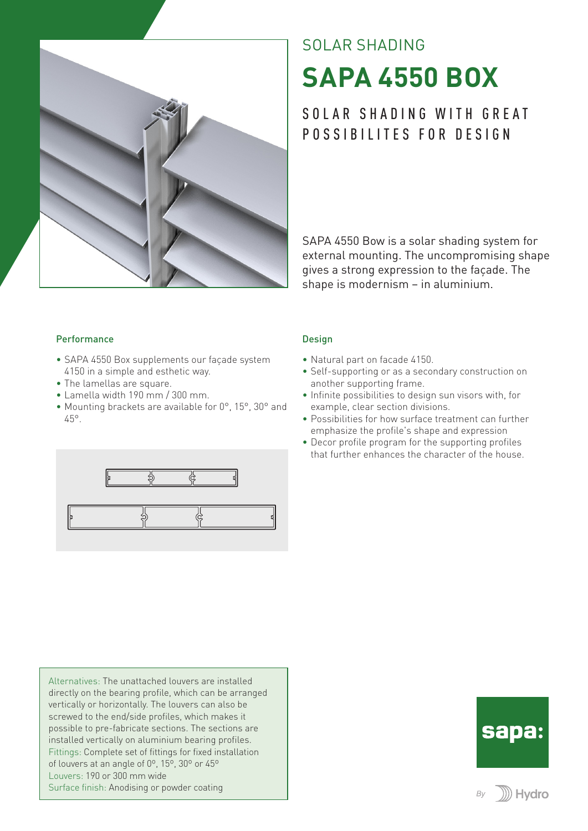

# SOLAR SHADING **SAPA 4550 BOX**

## SOLAR SHADING WITH GREAT POSSIBILITES FOR DESIGN

SAPA 4550 Bow is a solar shading system for external mounting. The uncompromising shape gives a strong expression to the façade. The shape is modernism – in aluminium.

#### Performance

- SAPA 4550 Box supplements our façade system 4150 in a simple and esthetic way.
- The lamellas are square.
- Lamella width 190 mm / 300 mm.
- Mounting brackets are available for 0°, 15°, 30° and 45°.



Alternatives: The unattached louvers are installed directly on the bearing profile, which can be arranged vertically or horizontally. The louvers can also be screwed to the end/side profiles, which makes it possible to pre-fabricate sections. The sections are installed vertically on aluminium bearing profiles. Fittings: Complete set of fittings for fixed installation of louvers at an angle of 0º, 15º, 30º or 45º Louvers: 190 or 300 mm wide Surface finish: Anodising or powder coating

#### Design

- Natural part on facade 4150.
- Self-supporting or as a secondary construction on another supporting frame.
- Infinite possibilities to design sun visors with, for example, clear section divisions.
- Possibilities for how surface treatment can further emphasize the profile's shape and expression
- Decor profile program for the supporting profiles that further enhances the character of the house.